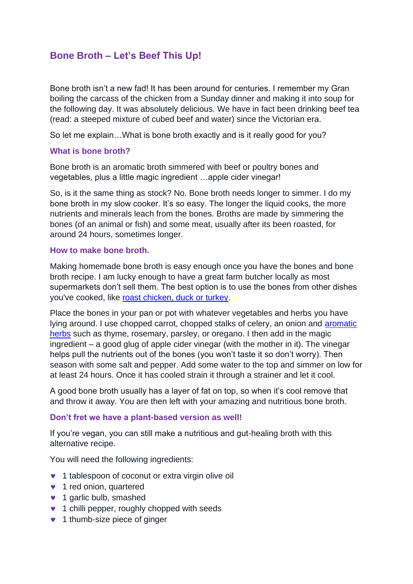# **Bone Broth – Let's Beef This Up!**

Bone broth isn't a new fad! It has been around for centuries. I remember my Gran boiling the carcass of the chicken from a Sunday dinner and making it into soup for the following day. It was absolutely delicious. We have in fact been drinking beef tea (read: a steeped mixture of cubed beef and water) since the Victorian era.

So let me explain…What is bone broth exactly and is it really good for you?

### **What is bone broth?**

Bone broth is an aromatic broth simmered with beef or poultry bones and vegetables, plus a little magic ingredient …apple cider vinegar!

So, is it the same thing as stock? No. Bone broth needs longer to simmer. I do my bone broth in my slow cooker. It's so easy. The longer the liquid cooks, the more nutrients and minerals leach from the bones. Broths are made by simmering the bones (of an animal or fish) and some meat, usually after its been roasted, for around 24 hours, sometimes longer.

#### **How to make bone broth.**

Making homemade bone broth is easy enough once you have the bones and bone broth recipe. I am lucky enough to have a great farm butcher locally as most supermarkets don't sell them. The best option is to use the bones from other dishes you've cooked, like [roast chicken, duck or turkey.](https://www.shape.com/healthy-eating/healthy-recipes/keto-thanksgiving-recipe-roasted-turkey-legs-almond-butter-gravy)

Place the bones in your pan or pot with whatever vegetables and herbs you have lying around. I use chopped carrot, chopped stalks of celery, an onion and [aromatic](https://www.shape.com/healthy-eating/healthy-recipes/how-use-fresh-herbs-greens-recipes)  [herbs](https://www.shape.com/healthy-eating/healthy-recipes/how-use-fresh-herbs-greens-recipes) such as thyme, rosemary, parsley, or oregano. I then add in the magic ingredient – a good glug of apple cider vinegar (with the mother in it). The vinegar helps pull the nutrients out of the bones (you won't taste it so don't worry). Then season with some salt and pepper. Add some water to the top and simmer on low for at least 24 hours. Once it has cooled strain it through a strainer and let it cool.

A good bone broth usually has a layer of fat on top, so when it's cool remove that and throw it away. You are then left with your amazing and nutritious bone broth.

### **Don't fret we have a plant-based version as well!**

If you're vegan, you can still make a nutritious and gut-healing broth with this alternative recipe.

You will need the following ingredients:

- **v** 1 tablespoon of coconut or extra virgin olive oil
- **1** red onion, quartered
- $\bullet$  1 garlic bulb, smashed
- **1** chilli pepper, roughly chopped with seeds
- **1** thumb-size piece of ginger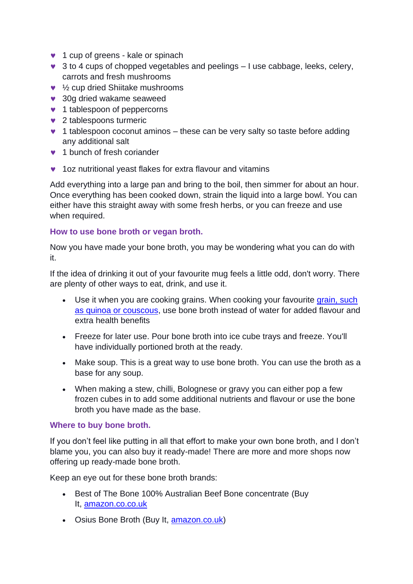- **v** 1 cup of greens kale or spinach
- $\bullet$  3 to 4 cups of chopped vegetables and peelings  $-1$  use cabbage, leeks, celery, carrots and fresh mushrooms
- ½ cup dried Shiitake mushrooms
- **30g dried wakame seaweed**
- **v** 1 tablespoon of peppercorns
- ◆ 2 tablespoons turmeric
- 1 tablespoon coconut aminos these can be very salty so taste before adding any additional salt
- **v** 1 bunch of fresh coriander
- **v** 1oz nutritional yeast flakes for extra flavour and vitamins

Add everything into a large pan and bring to the boil, then simmer for about an hour. Once everything has been cooked down, strain the liquid into a large bowl. You can either have this straight away with some fresh herbs, or you can freeze and use when required.

## **How to use bone broth or vegan broth.**

Now you have made your bone broth, you may be wondering what you can do with it.

If the idea of drinking it out of your favourite mug feels a little odd, don't worry. There are plenty of other ways to eat, drink, and use it.

- Use it when you are cooking grains. When cooking your favourite grain, such [as quinoa or couscous,](https://www.shape.com/healthy-eating/meal-ideas/10-ancient-grains-switch-your-healthy-carbs) use bone broth instead of water for added flavour and extra health benefits
- Freeze for later use. Pour bone broth into ice cube trays and freeze. You'll have individually portioned broth at the ready.
- Make soup. This is a great way to use bone broth. You can use the broth as a base for any soup.
- When making a stew, chilli, Bolognese or gravy you can either pop a few frozen cubes in to add some additional nutrients and flavour or use the bone broth you have made as the base.

## **Where to buy bone broth.**

If you don't feel like putting in all that effort to make your own bone broth, and I don't blame you, you can also buy it ready-made! There are more and more shops now offering up ready-made bone broth.

Keep an eye out for these bone broth brands:

- Best of The Bone 100% Australian Beef Bone concentrate (Buy It, [amazon.co.co.uk](https://www.amazon.com/stores/node/17139529011/ref=as_li_ss_tl?ie=UTF8&linkCode=ll2&tag=mshpfoodbonebrothbenefitschandersonlmazzosept19-20&linkId=d8f5c58b71ab82e81a764b86e7a54a0b&language=en_US)
- Osius Bone Broth (Buy It, [amazon.co.uk\)](https://www.amazon.com/stores/node/15806082011/ref=as_li_ss_tl?ie=UTF8&linkCode=ll2&tag=mshpfoodbonebrothbenefitschandersonlmazzosept19-20&linkId=4764478e41356547123862e5c827b309&language=en_US)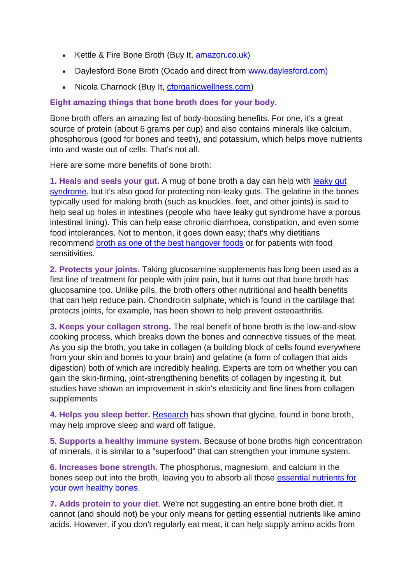- Kettle & Fire Bone Broth (Buy It, [amazon.co.uk\)](https://www.amazon.com/stores/node/16069688011/ref=as_li_ss_tl?ie=UTF8&linkCode=ll2&tag=mshpfoodbonebrothbenefitschandersonlmazzosept19-20&linkId=c92c3d31b1adb7cdb84418fe1c4db31b&language=en_US)
- Daylesford Bone Broth (Ocado and direct from [www.daylesford.com\)](http://www.daylesford,com/)
- Nicola Charnock (Buy It, [cforganicwellness.com\)](http://www.anrdoezrs.net/links/9104907/type/dlg/sid/MSHPFOODBoneBrothBenefitsCHAndersonLMazzoSept19/https:/thrivemarket.com/search/results?filter%5Bsearch%5D=bone%20broth&filter%5Bmanufacturer%5D=677)

## **Eight amazing things that bone broth does for your body.**

Bone broth offers an amazing list of body-boosting benefits. For one, it's a great source of protein (about 6 grams per cup) and also contains minerals like calcium, phosphorous (good for bones and teeth), and potassium, which helps move nutrients into and waste out of cells. That's not all.

Here are some more benefits of bone broth:

**1. Heals and seals your gut.** A mug of bone broth a day can help with [leaky gut](https://www.shape.com/lifestyle/mind-and-body/everything-you-need-know-about-leaky-gut-syndrome)  [syndrome,](https://www.shape.com/lifestyle/mind-and-body/everything-you-need-know-about-leaky-gut-syndrome) but it's also good for protecting non-leaky guts. The gelatine in the bones typically used for making broth (such as knuckles, feet, and other joints) is said to help seal up holes in intestines (people who have leaky gut syndrome have a porous intestinal lining). This can help ease chronic diarrhoea, constipation, and even some food intolerances. Not to mention, it goes down easy; that's why dietitians recommend [broth as one of the best hangover foods](https://www.shape.com/healthy-eating/diet-tips/best-hangover-foods) or for patients with food sensitivities.

**2. Protects your joints.** Taking glucosamine supplements has long been used as a first line of treatment for people with joint pain, but it turns out that bone broth has glucosamine too. Unlike pills, the broth offers other nutritional and health benefits that can help reduce pain. Chondroitin sulphate, which is found in the cartilage that protects joints, for example, has been shown to help prevent osteoarthritis.

**3. Keeps your collagen strong.** The real benefit of bone broth is the low-and-slow cooking process, which breaks down the bones and connective tissues of the meat. As you sip the broth, you take in collagen (a building block of cells found everywhere from your skin and bones to your brain) and gelatine (a form of collagen that aids digestion) both of which are incredibly healing. Experts are torn on whether you can gain the skin-firming, joint-strengthening benefits of collagen by ingesting it, but studies have shown an improvement in skin's elasticity and fine lines from collagen supplements

**4. Helps you sleep better.** [Research](https://www.ncbi.nlm.nih.gov/pmc/articles/PMC3328957/) has shown that glycine, found in bone broth, may help improve sleep and ward off fatigue.

**5. Supports a healthy immune system.** Because of bone broths high concentration of minerals, it is similar to a "superfood" that can strengthen your immune system.

**6. Increases bone strength.** The phosphorus, magnesium, and calcium in the bones seep out into the broth, leaving you to absorb all those [essential nutrients for](https://www.shape.com/healthy-eating/diet-tips/best-healthy-foods-strong-bones)  [your own healthy bones.](https://www.shape.com/healthy-eating/diet-tips/best-healthy-foods-strong-bones)

**7. Adds protein to your diet**. We're not suggesting an entire bone broth diet. It cannot (and should not) be your only means for getting essential nutrients like amino acids. However, if you don't regularly eat meat, it can help supply amino acids from